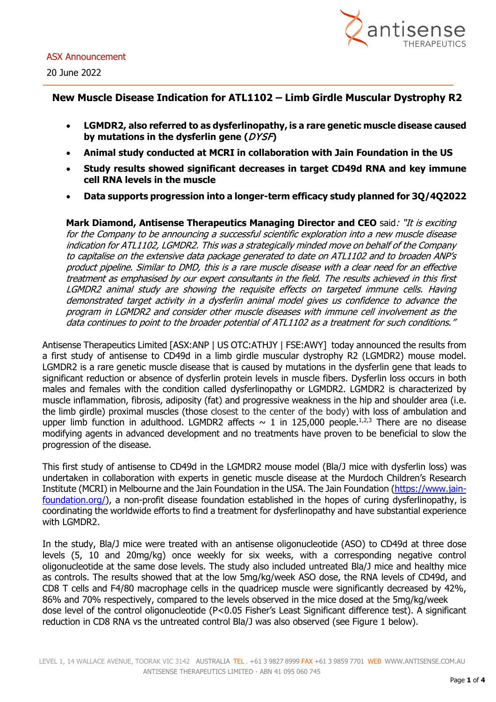

## **New Muscle Disease Indication for ATL1102 – Limb Girdle Muscular Dystrophy R2**

- **LGMDR2, also referred to as dysferlinopathy, is a rare genetic muscle disease caused by mutations in the dysferlin gene (**DYSF**)**
- **Animal study conducted at MCRI in collaboration with Jain Foundation in the US**
- **Study results showed significant decreases in target CD49d RNA and key immune cell RNA levels in the muscle**
- **Data supports progression into a longer-term efficacy study planned for 3Q/4Q2022**

**Mark Diamond, Antisense Therapeutics Managing Director and CEO** said: "It is exciting for the Company to be announcing a successful scientific exploration into a new muscle disease indication for ATL1102, LGMDR2. This was a strategically minded move on behalf of the Company to capitalise on the extensive data package generated to date on ATL1102 and to broaden ANP's product pipeline. Similar to DMD, this is a rare muscle disease with a clear need for an effective treatment as emphasised by our expert consultants in the field. The results achieved in this first LGMDR2 animal study are showing the requisite effects on targeted immune cells. Having demonstrated target activity in a dysferlin animal model gives us confidence to advance the program in LGMDR2 and consider other muscle diseases with immune cell involvement as the data continues to point to the broader potential of ATL1102 as a treatment for such conditions."

Antisense Therapeutics Limited [ASX:ANP | US OTC:ATHJY | FSE:AWY] today announced the results from a first study of antisense to CD49d in a limb girdle muscular dystrophy R2 (LGMDR2) mouse model. LGMDR2 is a rare genetic muscle disease that is caused by mutations in the dysferlin gene that leads to significant reduction or absence of dysferlin protein levels in muscle fibers. Dysferlin loss occurs in both males and females with the condition called dysferlinopathy or LGMDR2. LGMDR2 is characterized by muscle inflammation, fibrosis, adiposity (fat) and progressive weakness in the hip and shoulder area (i.e. the limb girdle) proximal muscles (those closest to the center of the body) with loss of ambulation and upper limb function in adulthood. LGMDR2 affects  $\sim$  1 in 125,000 people.<sup>1,2,3</sup> There are no disease modifying agents in advanced development and no treatments have proven to be beneficial to slow the progression of the disease.

This first study of antisense to CD49d in the LGMDR2 mouse model (Bla/J mice with dysferlin loss) was undertaken in collaboration with experts in genetic muscle disease at the Murdoch Children's Research Institute (MCRI) in Melbourne and the Jain Foundation in the USA. The Jain Foundation [\(https://www.jain](https://www.jain-foundation.org/)[foundation.org/\)](https://www.jain-foundation.org/), a non-profit disease foundation established in the hopes of curing dysferlinopathy, is coordinating the worldwide efforts to find a treatment for dysferlinopathy and have substantial experience with LGMDR2.

In the study, Bla/J mice were treated with an antisense oligonucleotide (ASO) to CD49d at three dose levels (5, 10 and 20mg/kg) once weekly for six weeks, with a corresponding negative control oligonucleotide at the same dose levels. The study also included untreated Bla/J mice and healthy mice as controls. The results showed that at the low 5mg/kg/week ASO dose, the RNA levels of CD49d, and CD8 T cells and F4/80 macrophage cells in the quadricep muscle were significantly decreased by 42%, 86% and 70% respectively, compared to the levels observed in the mice dosed at the 5mg/kg/week dose level of the control oligonucleotide (P<0.05 Fisher's Least Significant difference test). A significant reduction in CD8 RNA vs the untreated control Bla/J was also observed (see Figure 1 below).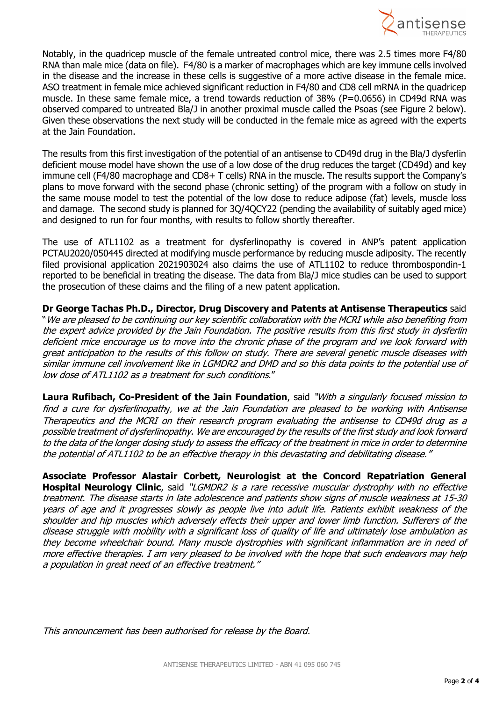

Notably, in the quadricep muscle of the female untreated control mice, there was 2.5 times more F4/80 RNA than male mice (data on file). F4/80 is a marker of macrophages which are key immune cells involved in the disease and the increase in these cells is suggestive of a more active disease in the female mice. ASO treatment in female mice achieved significant reduction in F4/80 and CD8 cell mRNA in the quadricep muscle. In these same female mice, a trend towards reduction of 38% (P=0.0656) in CD49d RNA was observed compared to untreated Bla/J in another proximal muscle called the Psoas (see Figure 2 below). Given these observations the next study will be conducted in the female mice as agreed with the experts at the Jain Foundation.

The results from this first investigation of the potential of an antisense to CD49d drug in the Bla/J dysferlin deficient mouse model have shown the use of a low dose of the drug reduces the target (CD49d) and key immune cell (F4/80 macrophage and CD8+ T cells) RNA in the muscle. The results support the Company's plans to move forward with the second phase (chronic setting) of the program with a follow on study in the same mouse model to test the potential of the low dose to reduce adipose (fat) levels, muscle loss and damage. The second study is planned for 3Q/4QCY22 (pending the availability of suitably aged mice) and designed to run for four months, with results to follow shortly thereafter.

The use of ATL1102 as a treatment for dysferlinopathy is covered in ANP's patent application PCTAU2020/050445 directed at modifying muscle performance by reducing muscle adiposity. The recently filed provisional application 2021903024 also claims the use of ATL1102 to reduce thrombospondin-1 reported to be beneficial in treating the disease. The data from Bla/J mice studies can be used to support the prosecution of these claims and the filing of a new patent application.

**Dr George Tachas Ph.D., Director, Drug Discovery and Patents at Antisense Therapeutics** said "We are pleased to be continuing our key scientific collaboration with the MCRI while also benefiting from the expert advice provided by the Jain Foundation. The positive results from this first study in dysferlin deficient mice encourage us to move into the chronic phase of the program and we look forward with great anticipation to the results of this follow on study. There are several genetic muscle diseases with similar immune cell involvement like in LGMDR2 and DMD and so this data points to the potential use of low dose of ATL1102 as a treatment for such conditions."

**Laura Rufibach, Co-President of the Jain Foundation**, said "With a singularly focused mission to find a cure for dysferlinopathy, we at the Jain Foundation are pleased to be working with Antisense Therapeutics and the MCRI on their research program evaluating the antisense to CD49d drug as a possible treatment of dysferlinopathy. We are encouraged by the results of the first study and look forward to the data of the longer dosing study to assess the efficacy of the treatment in mice in order to determine the potential of ATL1102 to be an effective therapy in this devastating and debilitating disease."

**Associate Professor Alastair Corbett, Neurologist at the Concord Repatriation General Hospital Neurology Clinic**, said "LGMDR2 is a rare recessive muscular dystrophy with no effective treatment. The disease starts in late adolescence and patients show signs of muscle weakness at 15-30 years of age and it progresses slowly as people live into adult life. Patients exhibit weakness of the shoulder and hip muscles which adversely effects their upper and lower limb function. Sufferers of the disease struggle with mobility with a significant loss of quality of life and ultimately lose ambulation as they become wheelchair bound. Many muscle dystrophies with significant inflammation are in need of more effective therapies. I am very pleased to be involved with the hope that such endeavors may help a population in great need of an effective treatment."

This announcement has been authorised for release by the Board.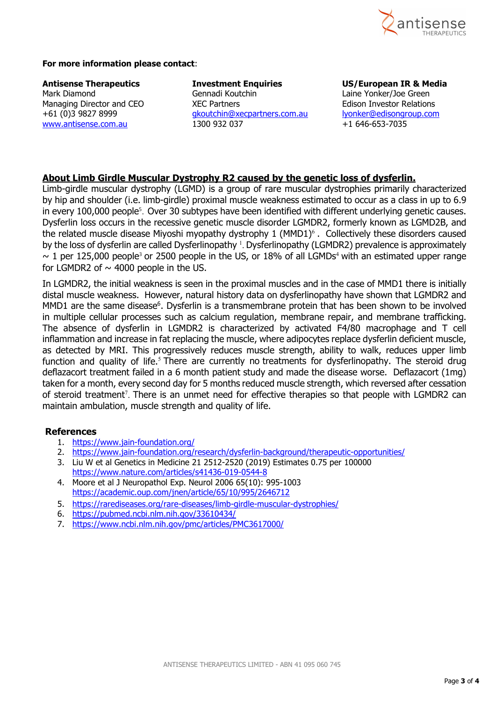

#### **For more information please contact**:

www.antisense.com.au

**Antisense Therapeutics Investment Enquiries US/European IR & Media** Gennadi Koutchin Laine Yonker/Joe Green<br>XEC Partners Laine Laison Investor Relations Managing Director and CEO XEC Partners<br>
+61 (0)3 9827 8999 doutchin@xecpartners.com.au lyonker@edisongroup.com +61 (0)3 9827 8999 [gkoutchin@xecpartners.com.au](mailto:gkoutchin@xecpartners.com.au) lyonker@edisongroup.com

#### **About Limb Girdle Muscular Dystrophy R2 caused by the genetic loss of dysferlin.**

Limb-girdle muscular dystrophy (LGMD) is a group of rare muscular dystrophies primarily characterized by hip and shoulder (i.e. limb-girdle) proximal muscle weakness estimated to occur as a class in up to 6.9 in every 100,000 people<sup>5</sup>. Over 30 subtypes have been identified with different underlying genetic causes. Dysferlin loss occurs in the recessive genetic muscle disorder LGMDR2, formerly known as LGMD2B, and the related muscle disease Miyoshi myopathy dystrophy  $1$  (MMD1)<sup>6</sup>. Collectively these disorders caused by the loss of dysferlin are called Dysferlinopathy <sup>1</sup>. Dysferlinopathy (LGMDR2) prevalence is approximately  $\sim$  1 per 125,000 people<sup>3</sup> or 2500 people in the US, or 18% of all LGMDs<sup>4</sup> with an estimated upper range for LGMDR2 of  $\sim$  4000 people in the US.

In LGMDR2, the initial weakness is seen in the proximal muscles and in the case of MMD1 there is initially distal muscle weakness. However, natural history data on dysferlinopathy have shown that LGMDR2 and MMD1 are the same disease<sup>6</sup>. Dysferlin is a transmembrane protein that has been shown to be involved in multiple cellular processes such as calcium regulation, membrane repair, and membrane trafficking. The absence of dysferlin in LGMDR2 is characterized by activated F4/80 macrophage and T cell inflammation and increase in fat replacing the muscle, where adipocytes replace dysferlin deficient muscle, as detected by MRI. This progressively reduces muscle strength, ability to walk, reduces upper limb function and quality of life.<sup>5</sup> There are currently no treatments for dysferlinopathy. The steroid drug deflazacort treatment failed in a 6 month patient study and made the disease worse. Deflazacort (1mg) taken for a month, every second day for 5 months reduced muscle strength, which reversed after cessation of steroid treatment<sup>7</sup>. There is an unmet need for effective therapies so that people with LGMDR2 can maintain ambulation, muscle strength and quality of life.

#### **References**

- 1. <https://www.jain-foundation.org/>
- 2. <https://www.jain-foundation.org/research/dysferlin-background/therapeutic-opportunities/>
- 3. Liu W et al Genetics in Medicine 21 2512-2520 (2019) Estimates 0.75 per 100000 <https://www.nature.com/articles/s41436-019-0544-8>
- 4. Moore et al J Neuropathol Exp. Neurol 2006 65(10): 995-1003 <https://academic.oup.com/jnen/article/65/10/995/2646712>
- 5. <https://rarediseases.org/rare-diseases/limb-girdle-muscular-dystrophies/>
- 6. <https://pubmed.ncbi.nlm.nih.gov/33610434/>
- 7. <https://www.ncbi.nlm.nih.gov/pmc/articles/PMC3617000/>